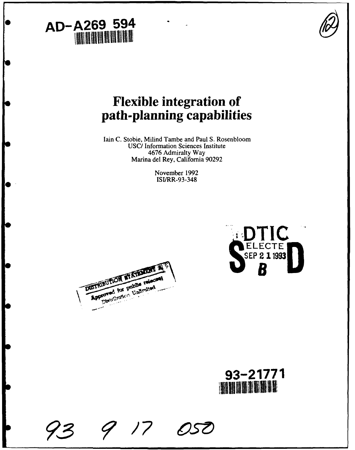# **AD-A269** 594



## Flexible integration of path-planning capabilities

lain C. Stobie, Milind Tambe and Paul S. Rosenbloom USC/ Information Sciences Institute 4676 Admiralty Way Marina del Rey, California 90292

> November 1992 ISI/RR-93-348







 $17$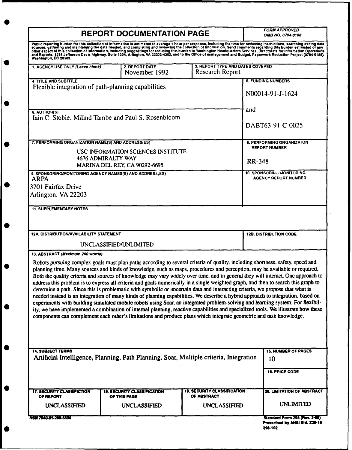| <b>REPORT DOCUMENTATION PAGE</b>                                                                                                                                                                                                  |                                                                                                                                                                                                                                                     |                                                     | <b>FORM APPROVED</b><br><b>OMB NO. 0704-0188</b>                                                                                                                                                                                                                                                                                                                                                                                                                                                                                                                                                                                                                                                                                                                                                                                                                                                                                                 |  |
|-----------------------------------------------------------------------------------------------------------------------------------------------------------------------------------------------------------------------------------|-----------------------------------------------------------------------------------------------------------------------------------------------------------------------------------------------------------------------------------------------------|-----------------------------------------------------|--------------------------------------------------------------------------------------------------------------------------------------------------------------------------------------------------------------------------------------------------------------------------------------------------------------------------------------------------------------------------------------------------------------------------------------------------------------------------------------------------------------------------------------------------------------------------------------------------------------------------------------------------------------------------------------------------------------------------------------------------------------------------------------------------------------------------------------------------------------------------------------------------------------------------------------------------|--|
| Public reporting burden for this collection of information is estimated to average 1 hour per response, including the time for reviewing instructions, searching exiting data<br>sources, gathering and maintaining the data need |                                                                                                                                                                                                                                                     |                                                     |                                                                                                                                                                                                                                                                                                                                                                                                                                                                                                                                                                                                                                                                                                                                                                                                                                                                                                                                                  |  |
| 1. AGENCY USE ONLY (Leave blank)                                                                                                                                                                                                  | 2. REPORT DATE<br>November 1992                                                                                                                                                                                                                     | 3. REPORT TYPE AND DATES COVERED<br>Research Report |                                                                                                                                                                                                                                                                                                                                                                                                                                                                                                                                                                                                                                                                                                                                                                                                                                                                                                                                                  |  |
| <b>4. TITLE AND SUBTITLE</b>                                                                                                                                                                                                      |                                                                                                                                                                                                                                                     |                                                     | <b>5. FUNDING NUMBERS</b>                                                                                                                                                                                                                                                                                                                                                                                                                                                                                                                                                                                                                                                                                                                                                                                                                                                                                                                        |  |
|                                                                                                                                                                                                                                   | Flexible integration of path-planning capabilities                                                                                                                                                                                                  |                                                     | N00014-91-J-1624                                                                                                                                                                                                                                                                                                                                                                                                                                                                                                                                                                                                                                                                                                                                                                                                                                                                                                                                 |  |
| 6. AUTHOR(S)                                                                                                                                                                                                                      |                                                                                                                                                                                                                                                     |                                                     | and                                                                                                                                                                                                                                                                                                                                                                                                                                                                                                                                                                                                                                                                                                                                                                                                                                                                                                                                              |  |
| Iain C. Stobie, Milind Tambe and Paul S. Rosenbloom                                                                                                                                                                               |                                                                                                                                                                                                                                                     | DABT63-91-C-0025                                    |                                                                                                                                                                                                                                                                                                                                                                                                                                                                                                                                                                                                                                                                                                                                                                                                                                                                                                                                                  |  |
| 7. PERFORMING ORGANIZATION NAME(S) AND ADDRESS(ES)                                                                                                                                                                                |                                                                                                                                                                                                                                                     |                                                     | <b>8. PERFORMING ORGANIZATON</b>                                                                                                                                                                                                                                                                                                                                                                                                                                                                                                                                                                                                                                                                                                                                                                                                                                                                                                                 |  |
|                                                                                                                                                                                                                                   | USC INFORMATION SCIENCES INSTITUTE                                                                                                                                                                                                                  |                                                     | <b>REPORT NUMBER</b>                                                                                                                                                                                                                                                                                                                                                                                                                                                                                                                                                                                                                                                                                                                                                                                                                                                                                                                             |  |
|                                                                                                                                                                                                                                   | 4676 ADMIRALTY WAY<br><b>MARINA DEL REY, CA 90292-6695</b>                                                                                                                                                                                          |                                                     | <b>RR-348</b>                                                                                                                                                                                                                                                                                                                                                                                                                                                                                                                                                                                                                                                                                                                                                                                                                                                                                                                                    |  |
| 9. SPONSORING/MONITORING AGENCY NAMES(S) AND ADDRESS(ES)                                                                                                                                                                          |                                                                                                                                                                                                                                                     |                                                     | 10. SPONSORING MONITORING<br><b>AGENCY REPORT NUMBER</b>                                                                                                                                                                                                                                                                                                                                                                                                                                                                                                                                                                                                                                                                                                                                                                                                                                                                                         |  |
| <b>ARPA</b><br>3701 Fairfax Drive                                                                                                                                                                                                 |                                                                                                                                                                                                                                                     |                                                     |                                                                                                                                                                                                                                                                                                                                                                                                                                                                                                                                                                                                                                                                                                                                                                                                                                                                                                                                                  |  |
| Arlington, VA 22203                                                                                                                                                                                                               |                                                                                                                                                                                                                                                     |                                                     |                                                                                                                                                                                                                                                                                                                                                                                                                                                                                                                                                                                                                                                                                                                                                                                                                                                                                                                                                  |  |
|                                                                                                                                                                                                                                   |                                                                                                                                                                                                                                                     |                                                     |                                                                                                                                                                                                                                                                                                                                                                                                                                                                                                                                                                                                                                                                                                                                                                                                                                                                                                                                                  |  |
| <b>11. SUPPLEMENTARY NOTES</b>                                                                                                                                                                                                    |                                                                                                                                                                                                                                                     |                                                     |                                                                                                                                                                                                                                                                                                                                                                                                                                                                                                                                                                                                                                                                                                                                                                                                                                                                                                                                                  |  |
|                                                                                                                                                                                                                                   |                                                                                                                                                                                                                                                     |                                                     |                                                                                                                                                                                                                                                                                                                                                                                                                                                                                                                                                                                                                                                                                                                                                                                                                                                                                                                                                  |  |
| <b>12A. DISTRIBUTION/AVAILABILITY STATEMENT</b>                                                                                                                                                                                   |                                                                                                                                                                                                                                                     |                                                     | <b>12B. DISTRIBUTION CODE</b>                                                                                                                                                                                                                                                                                                                                                                                                                                                                                                                                                                                                                                                                                                                                                                                                                                                                                                                    |  |
|                                                                                                                                                                                                                                   | UNCLASSIFIED/UNLIMITED                                                                                                                                                                                                                              |                                                     |                                                                                                                                                                                                                                                                                                                                                                                                                                                                                                                                                                                                                                                                                                                                                                                                                                                                                                                                                  |  |
| 13. ABSTRACT (Maximum 200 words)                                                                                                                                                                                                  |                                                                                                                                                                                                                                                     |                                                     |                                                                                                                                                                                                                                                                                                                                                                                                                                                                                                                                                                                                                                                                                                                                                                                                                                                                                                                                                  |  |
|                                                                                                                                                                                                                                   | determine a path. Since this is problematic with symbolic or uncertain data and interacting criteria, we propose that what is<br>components can complement each other's limitations and produce plans which integrate geometric and task knowledge. |                                                     | Robots pursuing complex goals must plan paths according to several criteria of quality, including shortness, safety, speed and<br>planning time. Many sources and kinds of knowledge, such as maps, procedures and perception, may be available or required.<br>Both the quality criteria and sources of knowledge may vary widely over time, and in general they will interact. One approach to<br>address this problem is to express all criteria and goals numerically in a single weighted graph, and then to search this graph to<br>needed instead is an integration of many kinds of planning capabilities. We describe a hybrid approach to integration, based on<br>experiments with building simulated mobile robots using Soar, an integrated problem-solving and learning system. For flexibil-<br>ity, we have implemented a combination of internal planning, reactive capabilities and specialized tools. We illustrate how these |  |
| <b>14. SUBJECT TERMS</b>                                                                                                                                                                                                          | Artificial Intelligence, Planning, Path Planning, Soar, Multiple criteria, Integration                                                                                                                                                              |                                                     | <b>15. NUMBER OF PAGES</b><br>10                                                                                                                                                                                                                                                                                                                                                                                                                                                                                                                                                                                                                                                                                                                                                                                                                                                                                                                 |  |
|                                                                                                                                                                                                                                   |                                                                                                                                                                                                                                                     |                                                     |                                                                                                                                                                                                                                                                                                                                                                                                                                                                                                                                                                                                                                                                                                                                                                                                                                                                                                                                                  |  |
|                                                                                                                                                                                                                                   |                                                                                                                                                                                                                                                     |                                                     | <b>16. PRICE CODE</b>                                                                                                                                                                                                                                                                                                                                                                                                                                                                                                                                                                                                                                                                                                                                                                                                                                                                                                                            |  |
| 17. SECURITY CLASSIFICTION<br>OF REPORT                                                                                                                                                                                           | <b>18. SECURITY CLASSIFICATION</b><br>OF THIS PAGE                                                                                                                                                                                                  | <b>19. SECURITY CLASSIFICATION</b><br>OF ABSTRACT   | 20. LIMITATION OF ABSTRACT                                                                                                                                                                                                                                                                                                                                                                                                                                                                                                                                                                                                                                                                                                                                                                                                                                                                                                                       |  |
| <b>UNCLASSIFIED</b>                                                                                                                                                                                                               | <b>UNCLASSIFIED</b>                                                                                                                                                                                                                                 | <b>UNCLASSIFIED</b>                                 | <b>UNLIMITED</b>                                                                                                                                                                                                                                                                                                                                                                                                                                                                                                                                                                                                                                                                                                                                                                                                                                                                                                                                 |  |
| NSN 7540-01-250-5500                                                                                                                                                                                                              |                                                                                                                                                                                                                                                     |                                                     | Slandard Form 298 (Rev. 2-89)                                                                                                                                                                                                                                                                                                                                                                                                                                                                                                                                                                                                                                                                                                                                                                                                                                                                                                                    |  |
|                                                                                                                                                                                                                                   |                                                                                                                                                                                                                                                     |                                                     | Prescribed by ANSI Std. Z39-18<br>208.102                                                                                                                                                                                                                                                                                                                                                                                                                                                                                                                                                                                                                                                                                                                                                                                                                                                                                                        |  |

<sup>\*22-102</sup>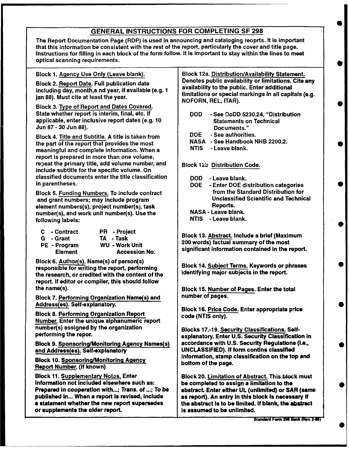#### GENERAL INSTRUCTIONS FOR COMPLETING SF 298

The Report Documentation Page (RDP) is used in announcing and cataloging reoprts. It is important that this information be consistent with the rest of the report, particularly the cover and title page. Instructions for filling in each block of the form follow. It is important to stay within the lines to meet optical scanning requirements.

Block 2. Report Date. Full publication date Denotes public availability or limitations.<br>Institution day, month and year if available (e.g. 1) availability to the public. Enter additional including day, month,a nd year, if available (e.g. 1 jan 88). Must cite at least the year.

Block 3. Type of Report and Dates Covered. State whether report is interim, final, etc. If **DOD** - See DoDD 5230.24, "Distribution applicable, enter inclusive report dates (e.g. 10 Statements on Technical Jun 87 **-** 30 Jun 88). Documents."

Block 4. Title and Subtitle. A title is taken from  $\begin{array}{|l|l|}\n\hline\n\text{DOE} & -\text{See authorities.} \\
\text{MASA} & -\text{See Handbook NHB 2200.2.} \\
\hline\n\end{array}$ the part of the report that provides the most<br>meaningful and complete information. When a NHS 2200 - Leave blank. meaningful and complete information. When a report is prepared in more than one volume, repeat the primary title, add volume number, and  $\Box$  Block 12b Distribution Code. include subtitle for the specific volume. On classified documents enter the title classification  $\Box$  DOD - Leave blank. in parentheses. DOE - Enter DOE distribution categories

and grant numbers; may include program Technical Science of Buchassified Science Science Science Science Scien<br>Scientific and Technical Science Scientific and Technical Science Scientific Andrew Scientific Andrew Scientif element numbers(s), project number(s), task Reports.<br>
number(s), and work unit number(s), the the NASA - Leave blank. number(s), and work unit number(s). Use the NASA - Leave blank.<br>Following labels: NTIS - Leave blank. following labels:

| C - Contract   | <b>PR</b> - Project   |
|----------------|-----------------------|
| G - Grant      | TA - Task             |
| PE - Program   | <b>WU - Work Unit</b> |
| <b>Element</b> | <b>Accession No.</b>  |

Block 6. Author(s). Name(s) of person(s) Ereck of Hambridge training between the process of Block 14. Subject Terms. Keywords or phrases<br>the recessible for writing the report, performing identifying major subjects in the report. the research, or credited with the content of the report. If editor or compiler, this should follow the name(s). Block 15. Number of Pages. Enter the total

Block 7. Performing Organization Name(s) and | number of pages.

Number. Enter the unique alphanumeric report number(s) assigned by the organization **Blocks 17.-19. Security Classifications. Self-**

Block To. Sponsoring Mollitoring Agency<br>Report Number. (If known)

Block 11. Supplementary Notos. Enter **Block 20. Limitation of Abstract. This block must** Information not Included elsewhere such as: be completed to assign a limitation to the published in... When a report is revised, include  $\parallel$  as report). An entry in this block is necessary if **a statement whether the new report supersedes**  $\qquad$  **the abstract is to be limited. If blank, the abstract** or supplements the older report. **in the supplement of the unit of the unit of the unit of the state** of states i

Block 1. Agency Use Only (Leave blank).<br>Block 12a. Distribution/Availability Statement.<br>Denotes public availability or limitations. Cite any limitations or special markings in all capitals (e.g. NOFORN, REL, ITAR).

- 
- 
- 
- 

- 
- Block 5. Funding Numbers. To include contract from the Standard Distribution for<br>and grapt numbers: may include program
	-
	-

**Block 13. Abstract. Include a brief (Maximum** 200 words) factual summary of the most<br>significant information contained in the report.

Address(es). Self-explanatory.<br>Block 16. <u>Price Code</u>. Enter appropriate price<br>code (NTIS only).

performing the repor. explanatory. Enter U.S. Security Classification in Block 9. Sponsoring/Monitoring Agency Names(s) accordance with U.S. Security Regulations **(i.e.,** UNCLASSIFIED). If form contins classified Block 10. Sponsoring/Monitoring Agency<br>Block 10. Sponsoring/Monitoring Agency<br>Definition of the name of the top and

Prepared in cooperation with...; Trans. of ...; To be | abstract. Enter either UL (unlimited) or SAR (same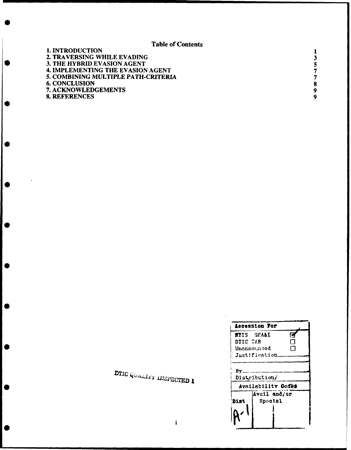Table of Contents

| 7 |
|---|
| 7 |
| 8 |
| 9 |
| 9 |
|   |

| <b>DOLO GELALTEY INSPECTED 1</b> | Distribution |
|----------------------------------|--------------|

 $\epsilon$ 

 $\bullet$ 

 $\bullet$ 

K

 $\epsilon$ 

|                    | <b>Accession For</b>                |   |
|--------------------|-------------------------------------|---|
|                    | <b>NTIS GEA&amp;I</b>               | г |
| DTIC TAB           |                                     | П |
| Unannounced        |                                     |   |
| $Just if leation_$ |                                     |   |
|                    | Distribution/<br>Availability Codes |   |
|                    | Avail and/or                        |   |
| Dist               | Special                             |   |
|                    |                                     |   |

**-- - -- --**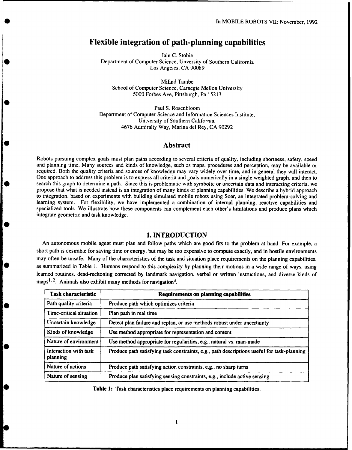### Flexible integration of path-planning capabilities

lain C. Stobie Department of Computer Science, Unversity of Southern California Los Angeles, CA 90089

Milind Tambe School of Computer Science, Carnegie Mellon University 5000 Forbes Ave, Pittsburgh, Pa 15213

Paul S. Rosenbloom Department of Computer Science and Information Sciences Institute, University of Southern California, 4676 Admiralty Way, Marina del Rey, CA 90292

#### Abstract

Robots pursuing complex goals must plan paths according to several criteria of quality, including shortness, safety, speed<br>and planning time. Many sources and kinds of knowledge, such as maps, procedures and perception, ma required. Both the quality criteria and sources of knowledge may vary widely over time, and in general they will interact. One approach to address this problem is to express all criteria and goals numerically in a single weighted graph, and then to search this graph to determine a path. Since this is problematic with symbolic or uncertain data and interacting criteria, we propose that what is needed instead is an integration of many kinds of planning capabilities. We describe a hybrid approach to integration, based on experiments with building simulated mobile robots using Soar, an integrated problem-solving and learning system. For flexibility, we have implemented a combination of internal planning, reactive capabilities and specialized tools. We illustrate how these components can complement each other's limitations and produce plans which integrate geometric and task knowledge.

#### **1.** INTRODUCTION

An autonomous mobile agent must plan and follow paths which are good fits to the problem at hand. For example, a short path is desirable for saving time or energy, but may be too expensive to compute exactly, and in hostile environments may often be unsafe. Many of the characteristics of the task and situation place requirements on the planning capabilities, as summarized in Table **1.** Humans respond to this complexity by planning their motions in a wide range of ways, using learned routines, dead-reckoning corrected by landmark navigation, verbal or written instructions, and diverse kinds of maps<sup>1, 2</sup>. Animals also exhibit many methods for navigation<sup>3</sup>.

| <b>Task characteristic</b>        | <b>Requirements on planning capabilities</b>                                               |
|-----------------------------------|--------------------------------------------------------------------------------------------|
| Path quality criteria             | Produce path which optimizes criteria                                                      |
| Time-critical situation           | Plan path in real time                                                                     |
| Uncertain knowledge               | Detect plan failure and replan, or use methods robust under uncertainty                    |
| Kinds of knowledge                | Use method appropriate for representation and content                                      |
| Nature of environment             | Use method appropriate for regularities, e.g., natural vs. man-made                        |
| Interaction with task<br>planning | Produce path satisfying task constraints, e.g., path descriptions useful for task-planning |
| Nature of actions                 | Produce path satisfying action constraints, e.g., no sharp turns                           |
| Nature of sensing                 | Produce plan satisfying sensing constraints, e.g., include active sensing                  |

Table **1:** Task characteristics place requirements on planning capabilities.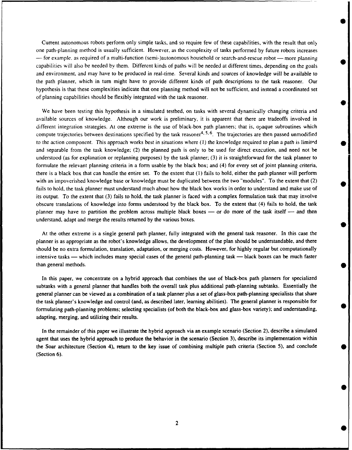Current autonomous robots perform only simple tasks, and so require few of these capabilities, with the result that only one path-planning method is usually sufficient. However, as the complexity of tasks performed by future robots increases  $-$  for example, as required of a multi-function (semi-)autonomous household or search-and-rescue robot  $-$  more planning capabilities will also be needed **by** them. Different kinds of paths will be needed at different times, depending on the goals and environment, and may have to be produced in real-time. Several kinds and sources of knowledge will be available to the path planner, which in turn might have to provide different kinds of path descriptions to the task reasoner. Our hypothesis is that these complexities indicate that one planning method will not be sufficient, and instead a coordinated set of planning capabilities should be flexibly integrated with the task reasoner.

**S**

We have been testing this hypothesis in a simulated testbed, on tasks with several dynamically changing criteria and available sources of knowledge. Although our work is preliminary, it is apparent that there are tradeoffs involved in different integration strategies. At one extreme is the use of black-box path planners; that is, opaque subroutines which compute trajectories between destinations specified by the task reasoner<sup>4, 5, 6</sup>. The trajectories are then passed unmodified to the action component. This approach works best in situations where **(1)** the knowledge required to plan a path is limitpd and separable from the task knowledge; (2) the planned path is only to be used for direct execution, and need not be understood (as for explanation or replanning purposes) by the task planner; (3) it is straightforward for the task planner to formulate the relevant planning criteria in a form usable by the black box; and (4) for every set of joint planning criteria, there is a black box that can handle the entire set. To the extent that **(1)** fails to hold, either the path planner will perform with an impoverished knowledge base or knowledge must be duplicated between the two "modules". To the extent that (2) fails to hold, the task planner must understand much about how the black box works in order to understand and make use of its output. To the extent that (3) fails to hold, the task planner is faced with a complex formulation task that may involve obscure translations of knowledge into forms understood by the black box. To the extent that (4) fails to hold, the task planner may have to partition the problem across multiple black boxes — or do more of the task itself — and then understand, adapt and merge the results returned by the various boxes.

At the other extreme is a single general path planner, fully integrated with the general task reasoner. In this case the planner is as appropriate as the robot's knowledge allows, the development of the plan should be understandable, and there should be no extra formulation, translation, adaptation, or merging costs. However, for highly regular but computationally intensive tasks — which includes many special cases of the general path-planning task — black boxes can be much faster than general methods.

In this paper, we concentrate on a hybrid approach that combines the use of black-box path planners for specialized subtasks with a general planner that handles both the overall task plus additional path-planning subtasks. Essentially the general planner can be viewed as a combination of a task planner plus a set of glass-box path-planning specialists that share the task planner's knowledge and control (and, as described later, learning abilities). The general planner is responsible for formulating path-planning problems; selecting specialists (of both the black-box and glass-box variety); and understanding, • adapting, merging, and utilizing their results.

In the remainder of this paper we illustrate the hybrid approach via an example scenario (Section 2), describe a simulated agent that uses the hybrid approach to produce the behavior in the scenario (Section 3), describe its implementation within the Soar architecture (Section 4), return to the key issue of combining multiple path criteria (Section 5), and conclude (Section 6).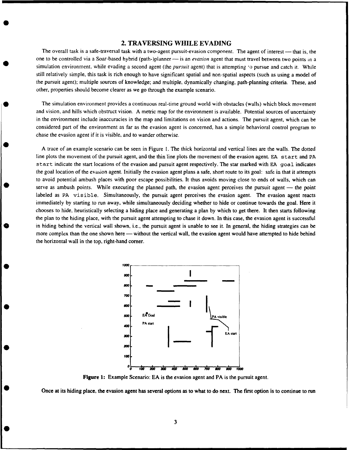#### 2. TRAVERSING WHILE **EVADING**

The overall task is a safe-traversal task with a two-agent pursuit-evasion component. The agent of interest - that is, the one to be controlled via a Soar-based hybrid (path-)planner - is an *evasion* agent that must travel between two points in a simulation environment, while evading a second agent (the *pursuit* agent) that is attempting *'o* pursue and catch it. While still relatively simple, this task is rich enough to have significant spatial and non-spatial aspects (such as using a model of the pursuit agent); multiple sources of knowledge; and multiple, dynamically changing, path-planning criteria. These, and other, properties should become clearer as we go through the example scenario.

The simulation environment provides a continuous real-time ground world with obstacles (walls) which block movement and vision, and hills which obstruct vision. A metric map for the environment is available. Potential sources of uncertainty in the environment include inaccuracies in the map and limitations on vision and actions. The pursuit agent, which can be considered part of the environment as far as the evasion agent is concerned, has a simple behavioral control program to chase the evasion agent if it is visible, and to wander otherwise.

A trace of an example scenario can be seen in Figure 1. The thick horizontal and vertical lines are the walls. The dotted line plots the movement of the pursuit agent, and the thin line plots the movement of the evasion agent. EA start and PA start indicate the start locations of the evasion and pursuit agent respectively. The star marked with EA goal indicates the goal location of the evasion agent. Initially the evasion agent plans a safe, short route to its goal: safe in that it attempts to avoid potential ambush places with poor escape possibilities. It thus avoids moving close to ends of walls, which can serve as ambush points. While executing the planned path, the evasion agent perceives the pursuit agent — the point labeled as PA visible. Simultaneously, the pursuit agent perceives the evasion agent. The evasion agent reacts immediately by starting to run away, while simultaneously deciding whether to hide or continue towards the goal. Here it chooses to hide, heuristically selecting a hiding place and generating a plan by which to get there. It then starts following the plan to the hiding place, with the pursuit agent attempting to chase it down. In this case, the evasion agent is successful in hiding behind the vertical wall shown, i.e., the pursuit agent is unable to see it. In general, the hiding strategies can be more complex than the one shown here — without the vertical wall, the evasion agent would have attempted to hide behind the horizontal wall in the top, right-hand corner.



Figure **1:** Example Scenario: EA is the evasion agent and PA is the pursuit agent.

Once at its hiding place, the evasion agent has several options as to what to do next. The first option is to continue to run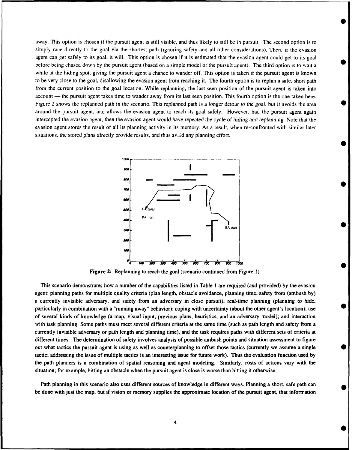away. This option is chosen if the pursuit agent is still visible, and thus likely to still be in pursuit. The second option is to simply race directly to the goal via the shortest path (ignoring safety and all other considerations). Then, if the evasion agent can get safely to its goal, it will. This option is chosen if it is estimated that the evasion agent could get to its goal before being chased down by the pursuit agent (based on a simple model of the pursuit agent). The third option is to wait a while at the hiding spot, giving the pursuit agent a chance to wander off. This option is taken if the pursuit agent is known to be very close to the goal, disallowing the evasion agent from reaching it. The fourth option is to replan a safe, short path from the current position to the goal location. While replanning, the last seen position of the pursuit agent is taken into  $account$  the pursuit agent takes time to wander away from its last seen position. This fourth option is the one taken here. Figure 2 shows the replanned path in the scenario. This replanned path is a longer detour to the goal, but it avoids the area around the pursuit agent, and allows the evasion agent to reach its goal safely. However, had the pursuit agent again intercepted the evasion agent, then the evasion agent would have repeated the cycle of hiding and replanning. Note that the evasion agent stores the result of all its planning activity in its memory. As a result, when re-confronted with similar later situations, the stored plans directly provide results, and thus  $av<sub>o</sub>$  id any planning effort.



Figure 2: Replanning to reach the goal (scenario continued from Figure 1).

This scenario demonstrates how a number of the capabilities listed in Table 1 are required (and provided) by the evasion agent: planning paths for multiple quality criteria (plan length, obstacle avoidance, planning time, safety from (ambush by) a currently invisible adversary, and safety from an adversary in close pursuit); real-time planning (planning to hide, particularly in combination with a "running away" behavior); coping with uncertainty (about the other agent's location); use of several kinds of knowledge (a map, visual input, previous plans, heuristics, and an adversary model); and interaction with task planning. Some paths must meet several different criteria at the same time (such as path length and safety from a currently invisible adversary or path length and planning time), and the task requires paths with different sets of criteria at different times. The determination of safety involves analysis of possible ambush points and situation assessment to figure out what tactics the pursuit agent is using as well as counterplanning to offset those tactics (currently we assume a single **0** tactic; addressing the issue of multiple tactics is an interesting issue for future work). Thus the evaluation function used by the path planners is a combination of spatial reasoning and agent modeling. Similarly, costs of actions vary with the situation; for example, hitting an obstacle when the pursuit agent is close is worse than hitting it otherwise.

Path planning in this scenario also uses different sources of knowledge in different ways. Planning a short, safe path can be done with just the map, but if vision or memory supplies the approximate location of the pursuit agent, that information

4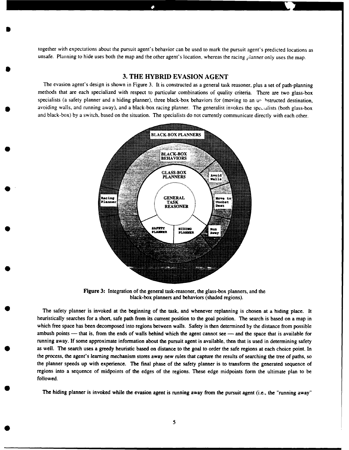together with expectations about the pursuit agent's behavior can be used to mark the pursuit agent's predicted locations as unsafe. Planning to hide uses both the map and the other agent's location, whereas the racing planner only uses the map.

#### **3.** THE HYBRID **EVASION AGENT**

The evasion agent's design is shown in Figure 3. It is constructed as a general task reasoner, plus a set of path-planning methods that are each specialized with respect to particular combinations of quality criteria. There are two glass-box specialists (a safety planner and a hiding planner), three black-box behaviors for (moving to an un histructed destination, avoiding walls, and running away), and a black-box racing planner. The generalist invokes the specialists (both glass-box and black-box) by a switch, based on the situation. The specialists do not currently communicate directly with each other.



Figure **3:** Integration of the general task-reasoner, the glass-box planners, and the black-box planners and behaviors (shaded regions).

The safety planner is invoked at the beginning of the task, and whenever replanning is chosen at a hiding place. It heuristically searches for a short, safe path from its current position to the goal position. The search is based on a map in which free space has been decomposed into regions between walls. Safety is then determined by the distance from possible ambush points — that is, from the ends of walls behind which the agent cannot see — and the space that is available for running away. If some approximate information about the pursuit agent is available, then that is used in determining safety as well. The search uses a greedy heuristic based on distance to the goal to order the safe regions at each choice point. In the process, the agent's learning mechanism stores away new rules that capture the results of searching the tree of paths, so the planner speeds up with experience. The final phase of the safety planner is to transform the generated sequence of regions into a sequence of midpoints of the edges of the regions. These edge midpoints form the ultimate plan to be followed.

The hiding planner is invoked while the evasion agent is running away from the pursuit agent (i.e., the "running away"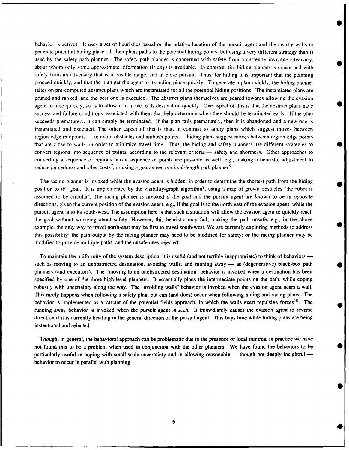behavior is active). It uses a set of heuristics based on the relative location of the pursuit agent and the nearby walls to generate potential hiding places. It then plans paths to the potential hiding points, but using a very different strategy than is used by the safety path planner. The safety path-planner is concerned with safety from a currently invisible adversary. about whom only some approximate information (if any) is available. In contrast, the hiding planner is concerned with safety from an adversary that is in visible range, and in close pursuit. Thus, for hiding it is important that the planning proceed quickly, and that the plan get the agent to its hiding place quickly. To generate a plan quickly, the hiding planner relies on pre-computed abstract plans which are instantiated for all the potential hiding positions. The instantiated plans are pruned and ranked, and the best one is executed. The abstract plans themselves are geared towards allowing the evasion agent to hide quickly, so as to allow it to move to its destination quickly. One aspect of this is that the abstract plans have success and failure conditions associated with them that help determine when they should be terminated early. If the plan succeeds prematurely, it can simply be terminated. If the plan fails prematurely, then it is abandoned and a new one is instantiated and executed. The other aspect of this is that, in contrast to safety plans which suggest moves between region-edge midpoints — to avoid obstacles and ambush points — hiding plans suggest moves between region-edge points that are close to walls, in order to minimize travel time. Thus, the hiding and safety planners use different strategies to convert regions into sequence of points, according to the relevant criteria — safety and shortness. Other approaches to converting a sequence of regions into a sequence of points are possible as well, e.g., making a heuristic adjustment to reduce jaggedness and other costs<sup>7</sup>, or using a guaranteed minimal-length path planner<sup>8</sup>.

**0**

**S**

**0**

The racing planner is invoked while the evasion agent is hidden, in order to determine the shortest path from the hiding position to the zoal. It is implemented by the visibility-graph algorithm<sup>9</sup>, using a map of grown obstacles (the robot is assumed to be circular). The racing planner is invoked if the goal and the pursuit agent are known to be in opposite directions, given the current position of the evasion agent, e.g., if the goal is to the north-east of the evasion agent, while the pursuit agent is to its south-west. The assumption here is that such a situation will allow the evasion agent to quickly reach the goal without worrying about safety. However, this heuristic may fail, making the path unsafe, e.g., in the above example, the only way to travel north-east may be first to travel south-west. We are currently exploring methods to address • this possibility: the path output by the racing planner may need to be modified for safety; or the racing planner may be modified to provide multiple paths, and the unsafe ones rejected.

To maintain the uniformity of the system description, it is useful (and not terribly inappropriate) to think of behaviors such as moving to an unobstructed destination, avoiding walls, and running away — as (degenerative) black-box path planners (and executors). The "moving to an unobstructed destination" behavior is invoked when a destination has been specified by one of the three high-level planners. It essentially plans the intermediate points on the path, while coping robustly with uncertainty along the way. The "avoiding walls" behavior is invoked when the evasion agent nears a wall. This rarely happens when following a safety plan, but can (and does) occur when following hiding and racing plans. The behavior is implemented as a variant of the potential fields approach, in which the walls exert repulsive forces<sup>10</sup>. The running away behavior is invoked when the pursuit agent is seen. It immediately causes the evasion agent to reverse direction if it is currently heading in the general direction of the pursuit agent. This buys time while hiding plans are being instantiated and selected.

Though, in general, the behavioral approach can be problematic due to the presence of local minima, in practice we have not found this to be a problem when used in conjunction with the other planners. We have found the behaviors to be **0** particularly useful in coping with small-scale uncertainty and in allowing reasonable — though not deeply insightful behavior to occur in parallel with planning.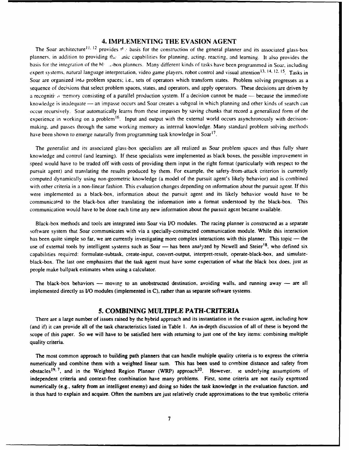#### 4. **IMPLEMENTING** THE **EVASION AGENT**

The Soar architecture<sup>11, 12</sup> provides  $\theta$ . basis for the construction of the general planner and its associated glass-box planners, in addition to providing the asic capabilities for planning, acting, reacting, and learning. It also provides the basis for the integration of the blues-box planners. Many different kinds of tasks have been programmed in Soar, including expert systems, natural language interpretation, video game players, robot control and visual attention  $13$ ,  $14$ ,  $12$ ,  $15$  Tasks in Soar are organized into problem spaces; i.e., sets of operators which transform states. Problem solving progresses as a sequence of decisions that select problem spaces, states, and operators, and apply operators. These decisions are driven by a recogniti, i 'nemory consisting of a parallel production system. If a decision cannot be made **-** because the immediate knowledge is inadequate — an impasse occurs and Soar creates a subgoal in which planning and other kinds of search can occur recursively. Soar automatically learns from these impasses by saving chunks that record a generalized form of the experience in working on a problem<sup>16</sup>. Input and output with the external world occurs asynchronously with decisionmaking, and passes through the same working memory as internal knowledge. Many standard problem solving methods have been shown to emerge naturally from programming task knowledge in Soar<sup>17</sup>.

The generalist and its associated glass-box specialists are all realized as Soar problem spaces and thus fully share knowledge and control (and learning). If these specialists were implemented as black boxes, the possible improvement in speed would have to be traded off with costs of providing them input in the right format (particularly with respect to the pursuit agent) and translating the results produced by them. For example, the safety-from-attack criterion is currently computed dynamically using non-geometric knowledge (a model of the pursuit agent's likely behavior) and is combined with other criteria in a non-linear fashion. This evaluation changes depending on information about the pursuit agent. If this were implemented as a black-box, information about the pursuit agent and its likely behavior would have to be communicated to the black-box after translating the information into a format understood by the black-box. This communication would have to be done each time any new information about the pursuit agent became available.

Black-box methods and tools are integrated into Soar via **1/0** modules. The racing planner is constructed as a separate software system that Soar communicates with via a specially-constructed communication module. While this interaction has been quite simple so far, we are currently investigating more complex interactions with this planner. This topic  $-$  the use of external tools by intelligent systems such as Soar - has been analyzed by Newell and Steier<sup>18</sup>, who defined six capabilities required: formulate-subtask, create-input, convert-output, interpret-result, operate-black-box, and simulateblack-box. The last one emphasizes that the task agent must have some expectation of what the black box does, just as people make ballpark estimates when using a calculator.

The black-box behaviors  $-$  moving to an unobstructed destination, avoiding walls, and running away  $-$  are all implemented directly as **1/0** modules (implemented in C), rather than as separate software systems.

#### 5. COMBINING MULTIPLE PATH-CRITERIA

There are a large number of issues raised by the hybrid approach and its instantiation in the evasion agent, including how (and if) it can provide all of the task characteristics listed in Table **1.** An in-depth discussion of all of these is beyond the scope of this paper. So we will have to be satisfied here with returning to just one of the key items: combining multiple quality criteria.

The most common approach to building path planners that can handle multiple quality criteria is to express the criteria numerically and combine them with a weighted linear sum. This has been used to combine distance and safety from obstacles <sup>19, 7</sup>, and in the Weighted Region Planner (WRP) approach <sup>20</sup>. However, ie underlying assumptions of independent criteria and context-free combination have many problems. First, some criteria are not easily expressed numerically (e.g., safety from an intelligent enemy) and doing so hides the task knowledge in the evaluation function, and is thus hard to explain and acquire. Often the numbers are just relatively crude approximations to the true symbolic criteria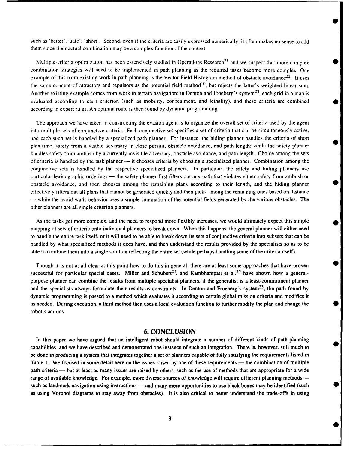such as 'better'. 'safe', 'short'. Second, even if the criteria are easily expressed numerically, it often makes no sense to add them since their actual combination may be a complex function of the context.

Multiple-criteria optimization has been extensively studied in Operations Research<sup>21</sup> and we suspect that more complex combination strategies will need to be implemented in path planning as the required tasks become more complex. One example of this from existing work in path planning is the Vector Field Histogram method of obstacle avoidance $^{22}$ . It uses the same concept of attractors and repulsors as the potential field method<sup>10</sup>, but rejects the latter's weighted linear sum. Another existing example comes from work in terrain navigation: in Denton and Froeberg's system<sup>23</sup>, each grid in a map is evaluated according to each criterion (such as mobility, concealment, and lethality), and these criteria are combined **0** according to expert rules. An optimal route is then found by dynamic programming.

The approach we have taken in constructing the evasion agent is to organize the overall set of criteria used by the agent into multiple sets of conjunctive criteria. Each conjunctive set specifies a set of criteria that can be simultaneously active, and each such set is handled by a specialized path planner. For instance, the hiding planner handles the criteria of short plan-time, safety from a visible adversary in close pursuit, obstacle avoidance, and path length; while the safety planner handles safety from ambush by a currently invisible adversary, obstacle avoidance, and path length. Choice among the sets of criteria is handled by the task planner — it chooses criteria by choosing a specialized planner. Combination among the conjunctive sets is handled by the respective specialized planners. In particular, the safety and hiding planners use particular lexicographic orderings — the safety planner first filters cut any path that violates either safety from ambush or obstacle avoidance, and then chooses among the remaining plans according to their lepgth, and the hiding planner **0** effectively filters out all plans that cannot be generated quickly and then picks .mong the remaining ones based on distance - while the avoid-walls behavior uses a simple summation of the potential fields generated by the various obstacles. The other planners are all single criterion planners.

As the tasks get more complex, and the need to respond more flexibly increases, we would ultimately expect this simple mapping of sets of criteria onto individual planners to break down. When this happens, the general planner will either need to handle the entire task itself, or it will need to be able to break down its sets of conjunctive criteria into subsets that can be handled by what specialized methods it does have, and then understand the results provided by the specialists so as to be able to combine them into a single solution reflecting the entire set (while perhaps handling some of the criteria itself).

Though it is not at all clear at this point how to do this in general, there are at least some approaches that have proven successful for particular special cases. Miller and Schubert<sup>24</sup>, and Kambhampati et al.<sup>25</sup> have shown how a generalpurpose planner can combine the results from multiple specialist planners, if the generalist is a least-commitment planner and the specialists always formulate their results as constraints. In Denton and Froeberg's system<sup>23</sup>, the path found by dynamic programming is passed to a method which evaluates it according to certain global mission criteria and modifies it as needed. During execution, a third method then uses a local evaluation function to further modify the plan and change the robot's actions.

#### **6. CONCLUSION**

In this paper we have argued that an intelligent robot should integrate a number of different kinds of path-planning capabilities, and we have described and demonstrated one instance of such an integration. There is, however, still much to be done in producing a system that integrates together a set of planners capable of fully satisfying the requirements listed in Table 1. We focused in some detail here on the issues raised by one of these requirements - the combination of multiple path criteria — but at least as many issues are raised by others, such as the use of methods that are appropriate for a wide range of available knowledge. For example, more diverse sources of knowledge will require different planning methods  such as landmark navigation using instructions — and many more opportunities to use black boxes may be identified (such as using Voronoi diagrams to stay away from obstacles). It is also critical to better understand the trade-offs in using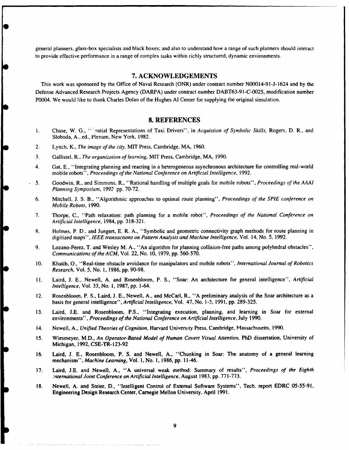general planners, glass-box specialists and black boxes; and also to understand how a range of such planners should interact to provide effective performance in a range of complex tasks within richly structured, dynamic environments.

#### **7. ACKNOWLEDGEMENTS**

This work was sponsored by the Office of Naval Research (ONR) under contract number N00014-9 1-J-1624 and by the Defense Advanced Research Projects Agency (DARPA) under contract number DABT63-9 I-C-0025, modification number P0004. We would like to thank Charles Dolan of the Hughes AI Center for supplying the original simulation.

#### **8. REFERENCES**

- **I** Chase, W. G., " 9atial Representations of Taxi Drivers", in *Acquistion of Symbolic Skills,* Rogers, D. R., and Sloboda, A., ed., Plenum, New York, 1982.
- 2. Lynch, K., *The image of the city,* MIT Press, Cambridge, MA, 1960.
- 3. Gallistel, R., *The organization of learning,* MIT Press, Cambridge, MA, 1990.
- 4. Gat, E., "Integrating planning and reacting in a heterogeneous asynchronous architecture for controlling real-world mobile robots", *Proceedings of the National Conference on Artificial Intelligence,* 1992.
- 5. Goodwin, R., and Simmons, R., "Rational handling of multiple goals for mobile robots", *Proceedings of the AAAI Planning Symposium,* 1992 pp. 70-72.
- 6. Mitchell, **J.** S. B., "Algorithmic approaches to optimal route planning", *Proceedings of the SPIE conference on Mobile Robots,* 1990.
- 7. Thorpe, C., "Path relaxation: path planning for a mobile robot", *Proceedings of the National Conference on Artificial Intelligence,* 1984, pp. 318-321.
- 8. Holmes, P. D., and Jungert, E. R. A., "Symbolic and geometric connectivity graph methods for route planning in digitized maps", *IEEE transactions on Pattern Analysis and Machine Intelligence,* Vol. 14, No. *5,* 1992.
- 9. Lozano-Perez, T. and Wesley M. A., "An algorithm for planning collision-free paths among polyhedral obstacles", *Communications of the ACM,* Vol. 22, No. 10, 1979, pp. 560-570.
- 10. Khatib, **0.,** "Real-time obstacle avoidance for manipulators and mobile robots", *International Journal of Robotics Research,* Vol. 5, No. 1, 1986, pp. 90-98.
- **It.** Laird, J. E., Newell, A. and Rosenbloom, P. S., "Soar: An architecture for general intelligence", *Artificial Intelligence,* Vol. 33, No. **1,** 1987, pp. 1-64.
- 12. Rosenbloom, P. **S.,** Laird, **J.** E., Newell, A., and McCarl, R., "A preliminary analysis of the Soar architecture as a basis for general intelligence", *Artificial Intelligence,* Vol. 47, No. 1-3, 1991, pp. 289-325.
- 13. Laird, I.E. and Rosenbloom, P.S., "Integrating execution, planning, and learning in Soar for external environments", *Proceedings of the National Conference on Artificial Intelligence,* July 1990.
- 14. Newell, A., *Unified Theories of Cognition,* Harvard University Press, Cambridge, Massachusetts, 1990.
- 15. Wiesmeyer, M.D., *An Operator-Based Model of Human Covert Visual Attention,* PhD dissertation, University of Michigan, 1992, CSE-TR- 123-92
- 16. Laird, J. E., Rosenbloom, P. **S.** and Newell, A., "Chunking in Soar: The anatomy of a general learning mechanism", *Machine Learning,* Vol. i, No. **1,** 1986, pp. 11-46.
- 17. Laird, J.E. and Newell, A., "A universal weak method: Summary of results", *Proceedings of the Eighth .nternational Joint Conference on Artificial Intelligence,* August 1983, pp. 771-773.
- 18. Newell, A. and Steier, D., "Intelligent Control of External Software Systems", Tech. report EDRC 05-55-91, Engineering Design Research Center, Carnegie Mellon University, April 1991.

**9**